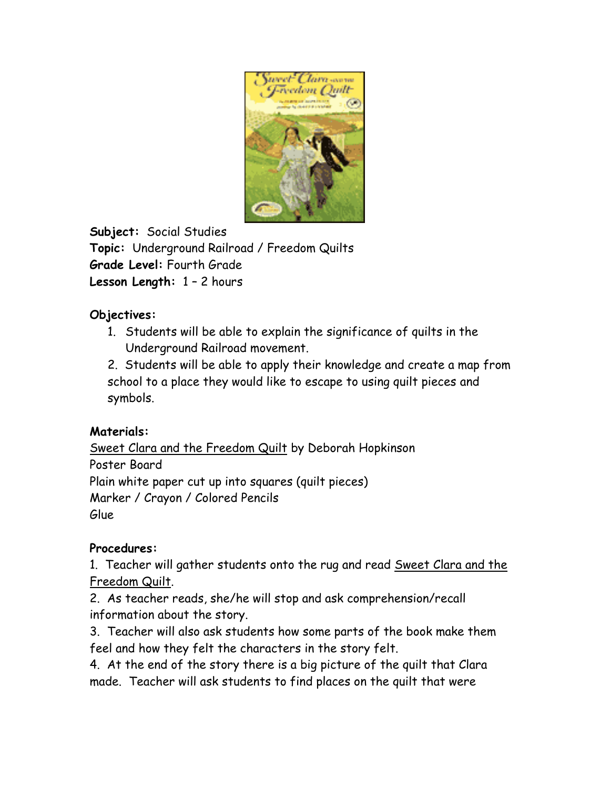

**Subject:** Social Studies **Topic:** Underground Railroad / Freedom Quilts **Grade Level:** Fourth Grade **Lesson Length:** 1 – 2 hours

## **Objectives:**

1. Students will be able to explain the significance of quilts in the Underground Railroad movement.

2. Students will be able to apply their knowledge and create a map from school to a place they would like to escape to using quilt pieces and symbols.

## **Materials:**

Sweet Clara and the Freedom Quilt by Deborah Hopkinson Poster Board Plain white paper cut up into squares (quilt pieces) Marker / Crayon / Colored Pencils Glue

## **Procedures:**

1. Teacher will gather students onto the rug and read Sweet Clara and the Freedom Quilt.

2. As teacher reads, she/he will stop and ask comprehension/recall information about the story.

3. Teacher will also ask students how some parts of the book make them feel and how they felt the characters in the story felt.

4. At the end of the story there is a big picture of the quilt that Clara made. Teacher will ask students to find places on the quilt that were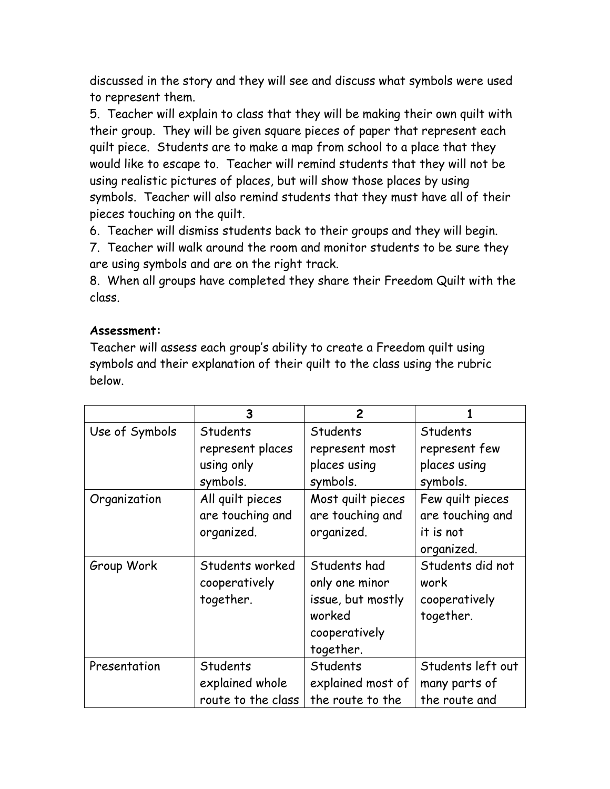discussed in the story and they will see and discuss what symbols were used to represent them.

5. Teacher will explain to class that they will be making their own quilt with their group. They will be given square pieces of paper that represent each quilt piece. Students are to make a map from school to a place that they would like to escape to. Teacher will remind students that they will not be using realistic pictures of places, but will show those places by using symbols. Teacher will also remind students that they must have all of their pieces touching on the quilt.

6. Teacher will dismiss students back to their groups and they will begin.

7. Teacher will walk around the room and monitor students to be sure they are using symbols and are on the right track.

8. When all groups have completed they share their Freedom Quilt with the class.

## **Assessment:**

Teacher will assess each group's ability to create a Freedom quilt using symbols and their explanation of their quilt to the class using the rubric below.

|                | 3                  | 2                 |                   |
|----------------|--------------------|-------------------|-------------------|
| Use of Symbols | Students           | <b>Students</b>   | Students          |
|                | represent places   | represent most    | represent few     |
|                | using only         | places using      | places using      |
|                | symbols.           | symbols.          | symbols.          |
| Organization   | All quilt pieces   | Most quilt pieces | Few quilt pieces  |
|                | are touching and   | are touching and  | are touching and  |
|                | organized.         | organized.        | it is not         |
|                |                    |                   | organized.        |
| Group Work     | Students worked    | Students had      | Students did not  |
|                | cooperatively      | only one minor    | work              |
|                | together.          | issue, but mostly | cooperatively     |
|                |                    | worked            | together.         |
|                |                    | cooperatively     |                   |
|                |                    | together.         |                   |
| Presentation   | Students           | <b>Students</b>   | Students left out |
|                | explained whole    | explained most of | many parts of     |
|                | route to the class | the route to the  | the route and     |